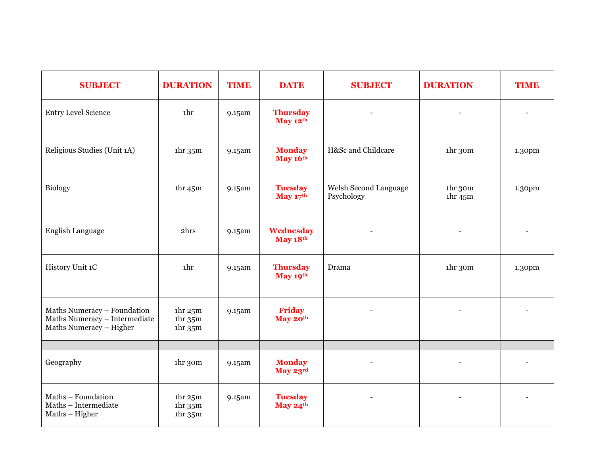| <b>SUBJECT</b>                                                                          | <b>DURATION</b>                                                                                       | <b>TIME</b> | <b>DATE</b>                  | <b>SUBJECT</b>                      | <b>DURATION</b>                                                    | <b>TIME</b> |
|-----------------------------------------------------------------------------------------|-------------------------------------------------------------------------------------------------------|-------------|------------------------------|-------------------------------------|--------------------------------------------------------------------|-------------|
| <b>Entry Level Science</b>                                                              | 1hr                                                                                                   | 9.15am      | <b>Thursday</b><br>May 12th  |                                     |                                                                    |             |
| Religious Studies (Unit 1A)                                                             | 1 <sup>hr</sup> 35 <sup>m</sup>                                                                       | 9.15am      | <b>Monday</b><br>May 16th    | H⪼ and Childcare                    | ihr 30m                                                            | 1.30pm      |
| <b>Biology</b>                                                                          | 1 <sup>hr</sup> 45 <sup>m</sup>                                                                       | 9.15am      | <b>Tuesday</b><br>May $17th$ | Welsh Second Language<br>Psychology | 1 <sup>hr</sup> 3 <sup>om</sup><br>1 <sup>hr</sup> 45 <sup>m</sup> | 1.30pm      |
| English Language                                                                        | 2hrs                                                                                                  | 9.15am      | Wednesday<br>May 18th        |                                     |                                                                    |             |
| History Unit 1C                                                                         | <sub>1</sub> hr                                                                                       | 9.15am      | <b>Thursday</b><br>May 19th  | Drama                               | ihr 30m                                                            | 1.30pm      |
| Maths Numeracy - Foundation<br>Maths Numeracy - Intermediate<br>Maths Numeracy - Higher | 1 <sup>hr</sup> 25 <sup>m</sup><br>1 <sup>hr</sup> 35 <sup>m</sup><br>1 <sup>hr</sup> 35 <sup>m</sup> | 9.15am      | Friday<br>May 20th           |                                     |                                                                    |             |
| Geography                                                                               | 1hr 30m                                                                                               | 9.15am      | <b>Monday</b>                |                                     |                                                                    |             |
|                                                                                         |                                                                                                       |             | May 23rd                     |                                     |                                                                    |             |
| Maths - Foundation<br>Maths - Intermediate<br>Maths - Higher                            | 1 <sup>hr</sup> 25 <sup>m</sup><br>1 <sup>hr</sup> 35 <sup>m</sup><br>1 <sup>hr</sup> 35 <sup>m</sup> | 9.15am      | <b>Tuesday</b><br>May 24th   |                                     |                                                                    |             |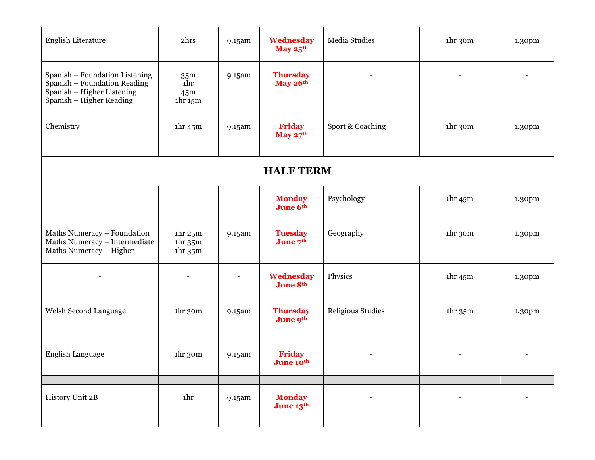| <b>English Literature</b>                                                                                                | 2hrs                                                                                                  | 9.15am                   | Wednesday<br>May 25th        | Media Studies     | 1hr 30m                         | 1.30pm |  |  |
|--------------------------------------------------------------------------------------------------------------------------|-------------------------------------------------------------------------------------------------------|--------------------------|------------------------------|-------------------|---------------------------------|--------|--|--|
| Spanish - Foundation Listening<br>Spanish - Foundation Reading<br>Spanish - Higher Listening<br>Spanish - Higher Reading | 35 <sub>m</sub><br>1hr<br>45 <sub>m</sub><br>1 <sup>hr</sup> 15 <sup>m</sup>                          | 9.15am                   | <b>Thursday</b><br>May 26th  |                   |                                 |        |  |  |
| Chemistry                                                                                                                | 1 <sup>hr</sup> 45 <sup>m</sup>                                                                       | 9.15am                   | <b>Friday</b><br>May $27th$  | Sport & Coaching  | 1hr 30m                         | 1.30pm |  |  |
| <b>HALF TERM</b>                                                                                                         |                                                                                                       |                          |                              |                   |                                 |        |  |  |
| $\overline{\phantom{0}}$                                                                                                 |                                                                                                       |                          | <b>Monday</b><br>June 6th    | Psychology        | 1 <sup>hr</sup> 45 <sup>m</sup> | 1.30pm |  |  |
| Maths Numeracy - Foundation<br>Maths Numeracy - Intermediate<br>Maths Numeracy - Higher                                  | 1 <sup>hr</sup> 25 <sup>m</sup><br>1 <sup>hr</sup> 35 <sup>m</sup><br>1 <sup>hr</sup> 35 <sup>m</sup> | 9.15am                   | <b>Tuesday</b><br>June $7th$ | Geography         | 1hr 30m                         | 1.30pm |  |  |
|                                                                                                                          |                                                                                                       | $\overline{\phantom{a}}$ | Wednesday<br>June 8th        | Physics           | 1 <sup>hr</sup> 45 <sup>m</sup> | 1.30pm |  |  |
| Welsh Second Language                                                                                                    | 1hr 30m                                                                                               | 9.15am                   | <b>Thursday</b><br>June 9th  | Religious Studies | 1 <sup>hr</sup> 35 <sup>m</sup> | 1.30pm |  |  |
| <b>English Language</b>                                                                                                  | 1hr 30m                                                                                               | 9.15am                   | <b>Friday</b><br>June 10th   |                   |                                 |        |  |  |
| History Unit 2B                                                                                                          | 1hr                                                                                                   | 9.15am                   | <b>Monday</b><br>June 13th   |                   | $\overline{\phantom{0}}$        |        |  |  |